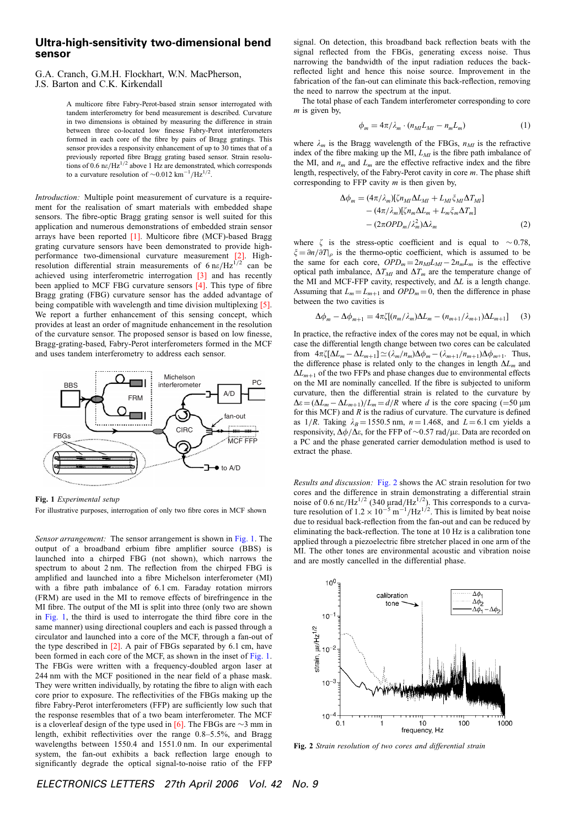## Ultra-high-sensitivity two-dimensional bend sensor

G.A. Cranch, G.M.H. Flockhart, W.N. MacPherson, J.S. Barton and C.K. Kirkendall

> A multicore fibre Fabry-Perot-based strain sensor interrogated with tandem interferometry for bend measurement is described. Curvature in two dimensions is obtained by measuring the difference in strain between three co-located low finesse Fabry-Perot interferometers formed in each core of the fibre by pairs of Bragg gratings. This sensor provides a responsivity enhancement of up to 30 times that of a previously reported fibre Bragg grating based sensor. Strain resolutions of 0.6 ne/Hz<sup>1/2</sup> above 1 Hz are demonstrated, which corresponds to a curvature resolution of  $\sim 0.012 \text{ km}^{-1}/\text{Hz}^{1/2}$ .

Introduction: Multiple point measurement of curvature is a requirement for the realisation of smart materials with embedded shape sensors. The fibre-optic Bragg grating sensor is well suited for this application and numerous demonstrations of embedded strain sensor arrays have been reported [1]. Multicore fibre (MCF)-based Bragg grating curvature sensors have been demonstrated to provide highperformance two-dimensional curvature measurement [2]. Highresolution differential strain measurements of  $6 \text{ ne/Hz}^{\frac{1}{2}}$  can be achieved using interferometric interrogation [3] and has recently been applied to MCF FBG curvature sensors [4]. This type of fibre Bragg grating (FBG) curvature sensor has the added advantage of being compatible with wavelength and time division multiplexing [5]. We report a further enhancement of this sensing concept, which provides at least an order of magnitude enhancement in the resolution of the curvature sensor. The proposed sensor is based on low finesse, Bragg-grating-based, Fabry-Perot interferometers formed in the MCF and uses tandem interferometry to address each sensor.



Fig. 1 Experimental setup

For illustrative purposes, interrogation of only two fibre cores in MCF shown

Sensor arrangement: The sensor arrangement is shown in Fig. 1. The output of a broadband erbium fibre amplifier source (BBS) is launched into a chirped FBG (not shown), which narrows the spectrum to about 2 nm. The reflection from the chirped FBG is amplified and launched into a fibre Michelson interferometer (MI) with a fibre path imbalance of 6.1 cm. Faraday rotation mirrors (FRM) are used in the MI to remove effects of birefringence in the MI fibre. The output of the MI is split into three (only two are shown in Fig. 1, the third is used to interrogate the third fibre core in the same manner) using directional couplers and each is passed through a circulator and launched into a core of the MCF, through a fan-out of the type described in [2]. A pair of FBGs separated by 6.1 cm, have been formed in each core of the MCF, as shown in the inset of Fig. 1. The FBGs were written with a frequency-doubled argon laser at 244 nm with the MCF positioned in the near field of a phase mask. They were written individually, by rotating the fibre to align with each core prior to exposure. The reflectivities of the FBGs making up the fibre Fabry-Perot interferometers (FFP) are sufficiently low such that the response resembles that of a two beam interferometer. The MCF is a cloverleaf design of the type used in [6]. The FBGs are  $\sim$ 3 mm in length, exhibit reflectivities over the range 0.8–5.5%, and Bragg wavelengths between 1550.4 and 1551.0 nm. In our experimental system, the fan-out exhibits a back reflection large enough to significantly degrade the optical signal-to-noise ratio of the FFP

signal. On detection, this broadband back reflection beats with the signal reflected from the FBGs, generating excess noise. Thus narrowing the bandwidth of the input radiation reduces the backreflected light and hence this noise source. Improvement in the fabrication of the fan-out can eliminate this back-reflection, removing the need to narrow the spectrum at the input.

The total phase of each Tandem interferometer corresponding to core  $m$  is given by,

$$
\phi_m = 4\pi/\lambda_m \cdot (n_{MI} L_{MI} - n_m L_m) \tag{1}
$$

where  $\lambda_m$  is the Bragg wavelength of the FBGs,  $n_{MI}$  is the refractive index of the fibre making up the MI,  $L_M$  is the fibre path imbalance of the MI, and  $n_m$  and  $L_m$  are the effective refractive index and the fibre length, respectively, of the Fabry-Perot cavity in core m. The phase shift corresponding to FFP cavity  $m$  is then given by,

$$
\Delta \phi_m = (4\pi/\lambda_m)[\zeta n_M \Delta L_{MI} + L_M \zeta_M \Delta T_{MI}] - (4\pi/\lambda_m)[\zeta n_m \Delta L_m + L_m \zeta_m \Delta T_m] - (2\pi OPD_m/\lambda_m^2)\Delta \lambda_m
$$
 (2)

where  $\zeta$  is the stress-optic coefficient and is equal to  $\sim 0.78$ ,  $\xi = \partial n/\partial T_{\rho}$  is the thermo-optic coefficient, which is assumed to be the same for each core,  $OPD_m = 2n_{MLM} - 2n_mL_m$  is the effective optical path imbalance,  $\Delta T_{MI}$  and  $\Delta T_m$  are the temperature change of the MI and MCF-FFP cavity, respectively, and  $\Delta L$  is a length change. Assuming that  $L_m = L_{m+1}$  and  $OPD_m = 0$ , then the difference in phase between the two cavities is

$$
\Delta \phi_m - \Delta \phi_{m+1} = 4\pi \zeta [(n_m/\lambda_m)\Delta L_m - (n_{m+1}/\lambda_{m+1})\Delta L_{m+1}] \tag{3}
$$

In practice, the refractive index of the cores may not be equal, in which case the differential length change between two cores can be calculated from  $4\pi\zeta[\Delta L_m - \Delta L_{m+1}] \simeq (\lambda_m/n_m)\Delta\phi_m - (\lambda_{m+1}/n_{m+1})\Delta\phi_{m+1}$ . Thus, the difference phase is related only to the changes in length  $\Delta L_m$  and  $\Delta L_{m+1}$  of the two FFPs and phase changes due to environmental effects on the MI are nominally cancelled. If the fibre is subjected to uniform curvature, then the differential strain is related to the curvature by  $\Delta \varepsilon = (\Delta L_m - \Delta L_{m+1})/L_m = d/R$  where d is the core spacing (=50  $\mu$ m for this MCF) and  $R$  is the radius of curvature. The curvature is defined as  $1/R$ . Taking  $\lambda_B = 1550.5$  nm,  $n = 1.468$ , and  $L = 6.1$  cm yields a responsivity,  $\Delta\phi/\Delta\varepsilon$ , for the FFP of  $\sim$ 0.57 rad/ $\mu\varepsilon$ . Data are recorded on a PC and the phase generated carrier demodulation method is used to extract the phase.

Results and discussion: Fig. 2 shows the AC strain resolution for two cores and the difference in strain demonstrating a differential strain noise of 0.6 ne/Hz<sup>1/2</sup> (340  $\mu$ nad/Hz<sup>1/2</sup>). This corresponds to a curva-<br>ture resolution of  $1.2 \times 10^{-5}$  m<sup>-1</sup>/Hz<sup>1/2</sup>. This is limited by beat noise due to residual back-reflection from the fan-out and can be reduced by eliminating the back-reflection. The tone at 10 Hz is a calibration tone applied through a piezoelectric fibre stretcher placed in one arm of the MI. The other tones are environmental acoustic and vibration noise and are mostly cancelled in the differential phase.



Fig. 2 Strain resolution of two cores and differential strain